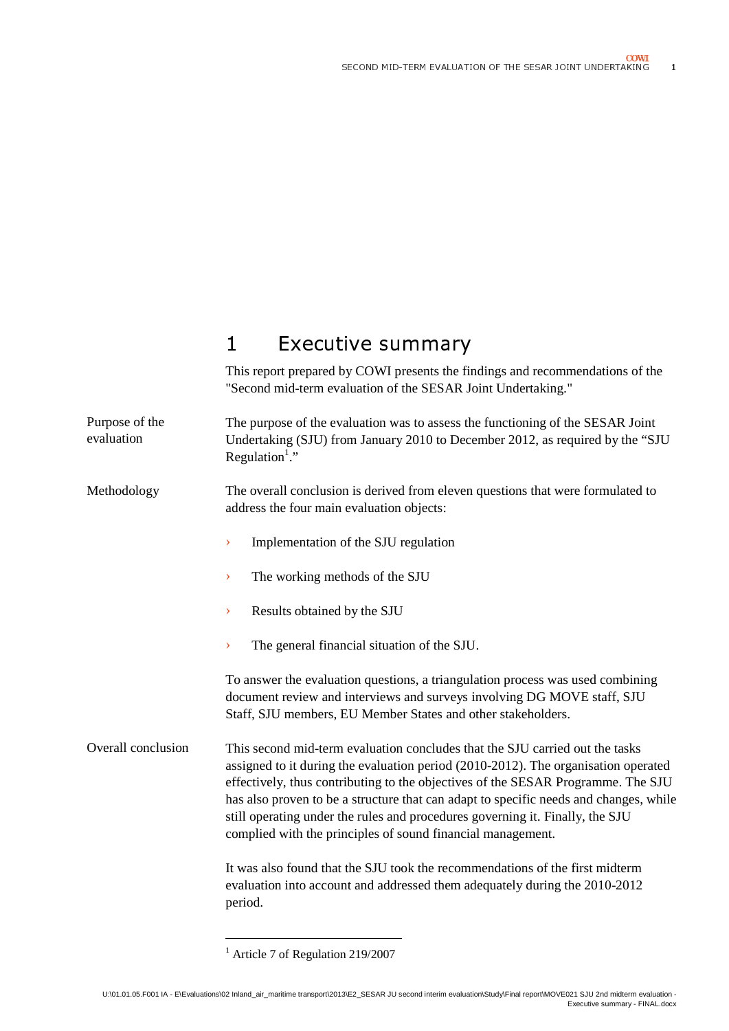$\overline{1}$ 

# 1 Executive summary

This report prepared by COWI presents the findings and recommendations of the "Second mid-term evaluation of the SESAR Joint Undertaking."

The purpose of the evaluation was to assess the functioning of the SESAR Joint Undertaking (SJU) from January 2010 to December 2012, as required by the "SJU Regulation<sup>1</sup>." Purpose of the evaluation

The overall conclusion is derived from eleven questions that were formulated to address the four main evaluation objects: Methodology

- › Implementation of the SJU regulation
- › The working methods of the SJU
- › Results obtained by the SJU
- › The general financial situation of the SJU.

To answer the evaluation questions, a triangulation process was used combining document review and interviews and surveys involving DG MOVE staff, SJU Staff, SJU members, EU Member States and other stakeholders.

This second mid-term evaluation concludes that the SJU carried out the tasks assigned to it during the evaluation period (2010-2012). The organisation operated effectively, thus contributing to the objectives of the SESAR Programme. The SJU has also proven to be a structure that can adapt to specific needs and changes, while still operating under the rules and procedures governing it. Finally, the SJU complied with the principles of sound financial management. Overall conclusion

> It was also found that the SJU took the recommendations of the first midterm evaluation into account and addressed them adequately during the 2010-2012 period.

 $\overline{a}$ 

<sup>&</sup>lt;sup>1</sup> Article 7 of Regulation 219/2007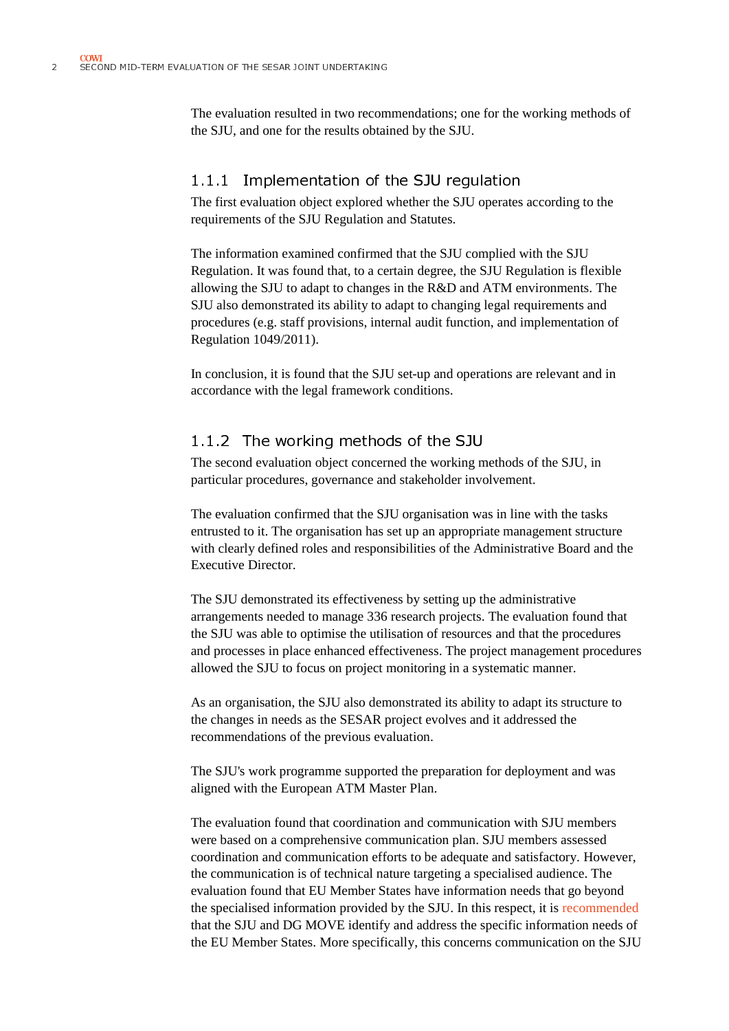$\overline{a}$ 

The evaluation resulted in two recommendations; one for the working methods of the SJU, and one for the results obtained by the SJU.

### 1.1.1 Implementation of the SJU regulation

The first evaluation object explored whether the SJU operates according to the requirements of the SJU Regulation and Statutes.

The evaluation resulted in two recom<br>the SJU, and one for the results obtain<br>1.1.1 Implementation of the SIU Regulation of<br>The first evaluation object explored v<br>requirements of the SJU Regulation and<br>The information exam The information examined confirmed that the SJU complied with the SJU Regulation. It was found that, to a certain degree, the SJU Regulation is flexible allowing the SJU to adapt to changes in the R&D and ATM environments. The SJU also demonstrated its ability to adapt to changing legal requirements and procedures (e.g. staff provisions, internal audit function, and implementation of Regulation 1049/2011).

> In conclusion, it is found that the SJU set-up and operations are relevant and in accordance with the legal framework conditions.

#### 1.1.2 The working methods of the SJU

The second evaluation object concerned the working methods of the SJU, in particular procedures, governance and stakeholder involvement.

The evaluation confirmed that the SJU organisation was in line with the tasks entrusted to it. The organisation has set up an appropriate management structure with clearly defined roles and responsibilities of the Administrative Board and the Executive Director.

The SJU demonstrated its effectiveness by setting up the administrative arrangements needed to manage 336 research projects. The evaluation found that the SJU was able to optimise the utilisation of resources and that the procedures and processes in place enhanced effectiveness. The project management procedures allowed the SJU to focus on project monitoring in a systematic manner.

As an organisation, the SJU also demonstrated its ability to adapt its structure to the changes in needs as the SESAR project evolves and it addressed the recommendations of the previous evaluation.

The SJU's work programme supported the preparation for deployment and was aligned with the European ATM Master Plan.

The evaluation found that coordination and communication with SJU members were based on a comprehensive communication plan. SJU members assessed coordination and communication efforts to be adequate and satisfactory. However, the communication is of technical nature targeting a specialised audience. The evaluation found that EU Member States have information needs that go beyond the specialised information provided by the SJU. In this respect, it is recommended that the SJU and DG MOVE identify and address the specific information needs of the EU Member States. More specifically, this concerns communication on the SJU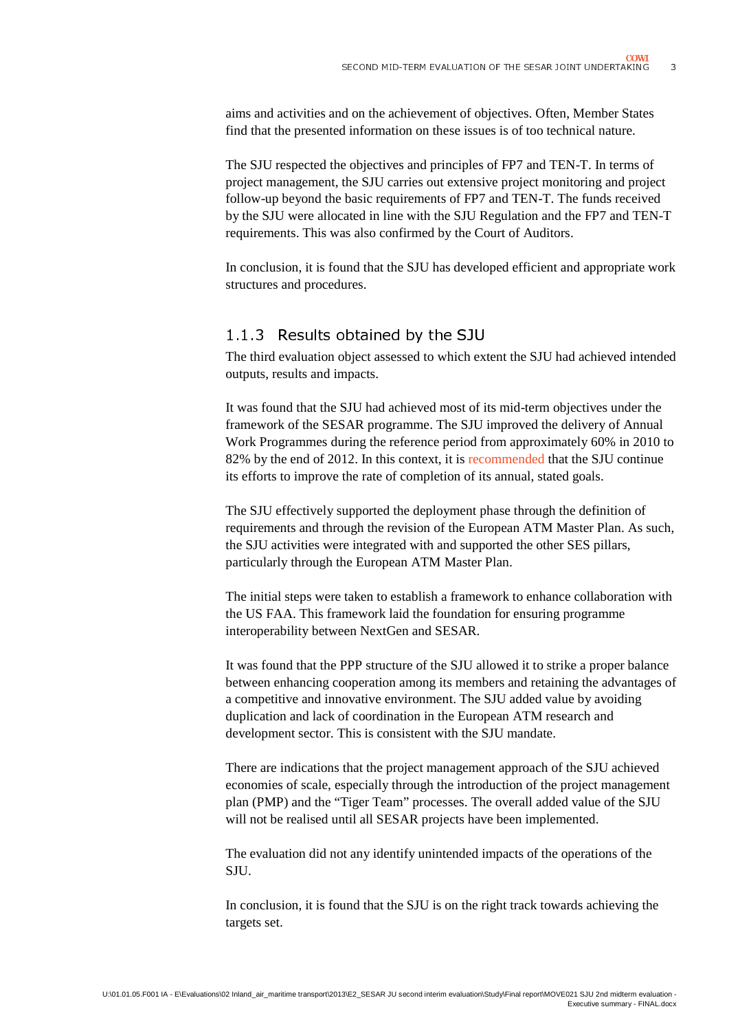$\mathbf{z}$ 

aims and activities and on the achievement of objectives. Often, Member States find that the presented information on these issues is of too technical nature.

A<br>C<br>I<br>C<br>C<br>C d on the achievement of objectives. Often, Member States<br>d information on these issues is of too technical nature.<br>e objectives and principles of FP7 and TEN-T. In terms of<br>the SJU carries out extensive project monitoring The SJU respected the objectives and principles of FP7 and TEN-T. In terms of project management, the SJU carries out extensive project monitoring and project follow-up beyond the basic requirements of FP7 and TEN-T. The funds received by the SJU were allocated in line with the SJU Regulation and the FP7 and TEN-T requirements. This was also confirmed by the Court of Auditors.

.<br>k In conclusion, it is found that the SJU has developed efficient and appropriate work structures and procedures.

#### 1.1.3 Results obtained by the SJU

The third evaluation object assessed to which extent the SJU had achieved intended outputs, results and impacts.

It was found that the SJU had achieved most of its mid-term objectives under the framework of the SESAR programme. The SJU improved the delivery of Annual Work Programmes during the reference period from approximately 60% in 2010 to 82% by the end of 2012. In this context, it is recommended that the SJU continue its efforts to improve the rate of completion of its annual, stated goals.

The SJU effectively supported the deployment phase through the definition of requirements and through the revision of the European ATM Master Plan. As such, the SJU activities were integrated with and supported the other SES pillars, particularly through the European ATM Master Plan.

The initial steps were taken to establish a framework to enhance collaboration with the US FAA. This framework laid the foundation for ensuring programme interoperability between NextGen and SESAR.

It was found that the PPP structure of the SJU allowed it to strike a proper balance between enhancing cooperation among its members and retaining the advantages of a competitive and innovative environment. The SJU added value by avoiding duplication and lack of coordination in the European ATM research and development sector. This is consistent with the SJU mandate.

There are indications that the project management approach of the SJU achieved economies of scale, especially through the introduction of the project management plan (PMP) and the "Tiger Team" processes. The overall added value of the SJU will not be realised until all SESAR projects have been implemented.

The evaluation did not any identify unintended impacts of the operations of the **SILL** 

In conclusion, it is found that the SJU is on the right track towards achieving the targets set.